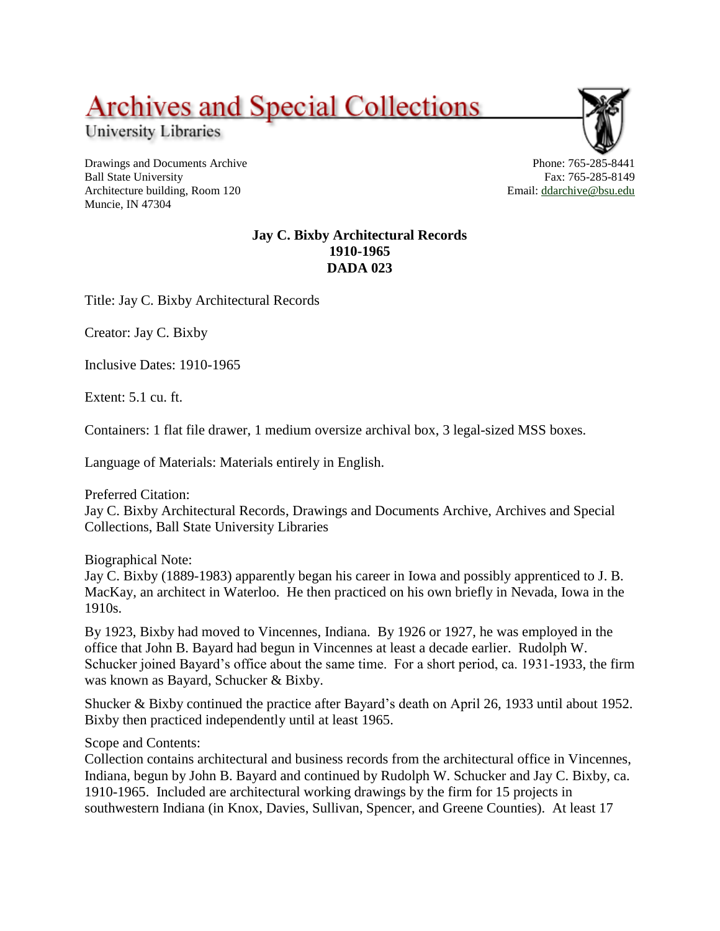## **Archives and Special Collections**

University Libraries

Drawings and Documents Archive Ball State University Architecture building, Room 120 Muncie, IN 47304



Email: [ddarchive@bsu.edu](mailto:ddarchive@bsu.edu)

**Jay C. Bixby Architectural Records 1910-1965 DADA 023**

Title: Jay C. Bixby Architectural Records

Creator: Jay C. Bixby

Inclusive Dates: 1910-1965

Extent: 5.1 cu. ft.

Containers: 1 flat file drawer, 1 medium oversize archival box, 3 legal-sized MSS boxes.

Language of Materials: Materials entirely in English.

Preferred Citation: Jay C. Bixby Architectural Records, Drawings and Documents Archive, Archives and Special Collections, Ball State University Libraries

Biographical Note:

Jay C. Bixby (1889-1983) apparently began his career in Iowa and possibly apprenticed to J. B. MacKay, an architect in Waterloo. He then practiced on his own briefly in Nevada, Iowa in the 1910s.

By 1923, Bixby had moved to Vincennes, Indiana. By 1926 or 1927, he was employed in the office that John B. Bayard had begun in Vincennes at least a decade earlier. Rudolph W. Schucker joined Bayard's office about the same time. For a short period, ca. 1931-1933, the firm was known as Bayard, Schucker & Bixby.

Shucker & Bixby continued the practice after Bayard's death on April 26, 1933 until about 1952. Bixby then practiced independently until at least 1965.

Scope and Contents:

Collection contains architectural and business records from the architectural office in Vincennes, Indiana, begun by John B. Bayard and continued by Rudolph W. Schucker and Jay C. Bixby, ca. 1910-1965. Included are architectural working drawings by the firm for 15 projects in southwestern Indiana (in Knox, Davies, Sullivan, Spencer, and Greene Counties). At least 17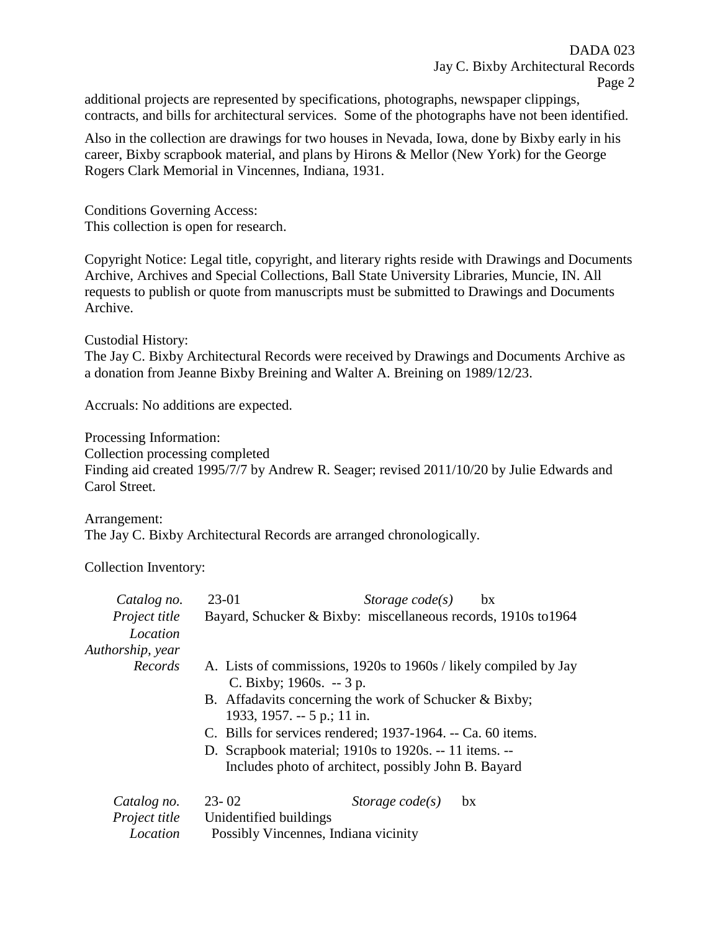additional projects are represented by specifications, photographs, newspaper clippings, contracts, and bills for architectural services. Some of the photographs have not been identified.

Also in the collection are drawings for two houses in Nevada, Iowa, done by Bixby early in his career, Bixby scrapbook material, and plans by Hirons & Mellor (New York) for the George Rogers Clark Memorial in Vincennes, Indiana, 1931.

Conditions Governing Access: This collection is open for research.

Copyright Notice: Legal title, copyright, and literary rights reside with Drawings and Documents Archive, Archives and Special Collections, Ball State University Libraries, Muncie, IN. All requests to publish or quote from manuscripts must be submitted to Drawings and Documents Archive.

Custodial History:

The Jay C. Bixby Architectural Records were received by Drawings and Documents Archive as a donation from Jeanne Bixby Breining and Walter A. Breining on 1989/12/23.

Accruals: No additions are expected.

Processing Information:

Collection processing completed

Finding aid created 1995/7/7 by Andrew R. Seager; revised 2011/10/20 by Julie Edwards and Carol Street.

Arrangement: The Jay C. Bixby Architectural Records are arranged chronologically.

Collection Inventory:

| Catalog no.      | 23-01                                                                                        | Storage $code(s)$                                    | bx |
|------------------|----------------------------------------------------------------------------------------------|------------------------------------------------------|----|
| Project title    | Bayard, Schucker & Bixby: miscellaneous records, 1910s to 1964                               |                                                      |    |
| Location         |                                                                                              |                                                      |    |
| Authorship, year |                                                                                              |                                                      |    |
| Records          | A. Lists of commissions, 1920s to 1960s / likely compiled by Jay<br>C. Bixby; $1960s. -3 p.$ |                                                      |    |
|                  | B. Affadavits concerning the work of Schucker & Bixby;<br>1933, 1957. -- 5 p.; 11 in.        |                                                      |    |
|                  | C. Bills for services rendered; 1937-1964. -- Ca. 60 items.                                  |                                                      |    |
|                  | D. Scrapbook material; 1910s to 1920s. -- 11 items. --                                       |                                                      |    |
|                  |                                                                                              | Includes photo of architect, possibly John B. Bayard |    |
| Catalog no.      | $23 - 02$                                                                                    | Storage $code(s)$                                    | bx |
| Project title    | Unidentified buildings                                                                       |                                                      |    |
| Location         | Possibly Vincennes, Indiana vicinity                                                         |                                                      |    |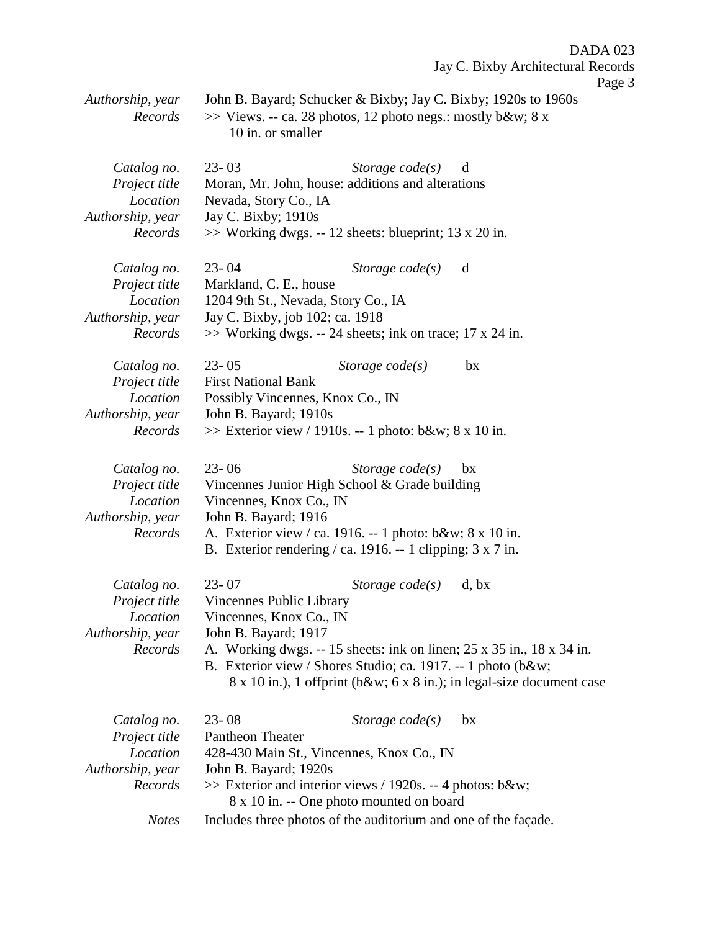Jay C. Bixby Architectural Records Page 3 *Authorship, year* John B. Bayard; Schucker & Bixby; Jay C. Bixby; 1920s to 1960s *Records* >> Views. -- ca. 28 photos, 12 photo negs.: mostly b&w; 8 x 10 in. or smaller *Catalog no.* 23- 03 *Storage code(s)* d *Project title* Moran, Mr. John, house: additions and alterations *Location* Nevada, Story Co., IA *Authorship, year* Jay C. Bixby; 1910s *Records* >> Working dwgs. -- 12 sheets: blueprint; 13 x 20 in. *Catalog no.* 23- 04 *Storage code(s)* d *Project title* Markland, C. E., house *Location* 1204 9th St., Nevada, Story Co., IA *Authorship, year* Jay C. Bixby, job 102; ca. 1918 *Records* >> Working dwgs. -- 24 sheets; ink on trace; 17 x 24 in. *Catalog no.* 23- 05 *Storage code(s)* bx *Project title* First National Bank *Location* Possibly Vincennes, Knox Co., IN *Authorship, year* John B. Bayard; 1910s *Records*  $\gg$  Exterior view / 1910s. -- 1 photo: b&w; 8 x 10 in. *Catalog no.* 23- 06 *Storage code(s)* bx *Project title* Vincennes Junior High School & Grade building *Location* Vincennes, Knox Co., IN *Authorship, year* John B. Bayard; 1916 *Records* A. Exterior view / ca. 1916. -- 1 photo: b&w; 8 x 10 in. B. Exterior rendering / ca. 1916. -- 1 clipping; 3 x 7 in. *Catalog no.* 23- 07 *Storage code(s)* d, bx *Project title* Vincennes Public Library *Location* Vincennes, Knox Co., IN *Authorship, year* John B. Bayard; 1917 *Records* A. Working dwgs. -- 15 sheets: ink on linen; 25 x 35 in., 18 x 34 in. B. Exterior view / Shores Studio; ca. 1917. -- 1 photo (b&w; 8 x 10 in.), 1 offprint (b&w; 6 x 8 in.); in legal-size document case *Catalog no.* 23- 08 *Storage code(s)* bx *Project title* Pantheon Theater *Location* 428-430 Main St., Vincennes, Knox Co., IN *Authorship, year* John B. Bayard; 1920s

DADA 023

*Records* >> Exterior and interior views / 1920s. -- 4 photos: b&w; 8 x 10 in. -- One photo mounted on board

*Notes* Includes three photos of the auditorium and one of the façade.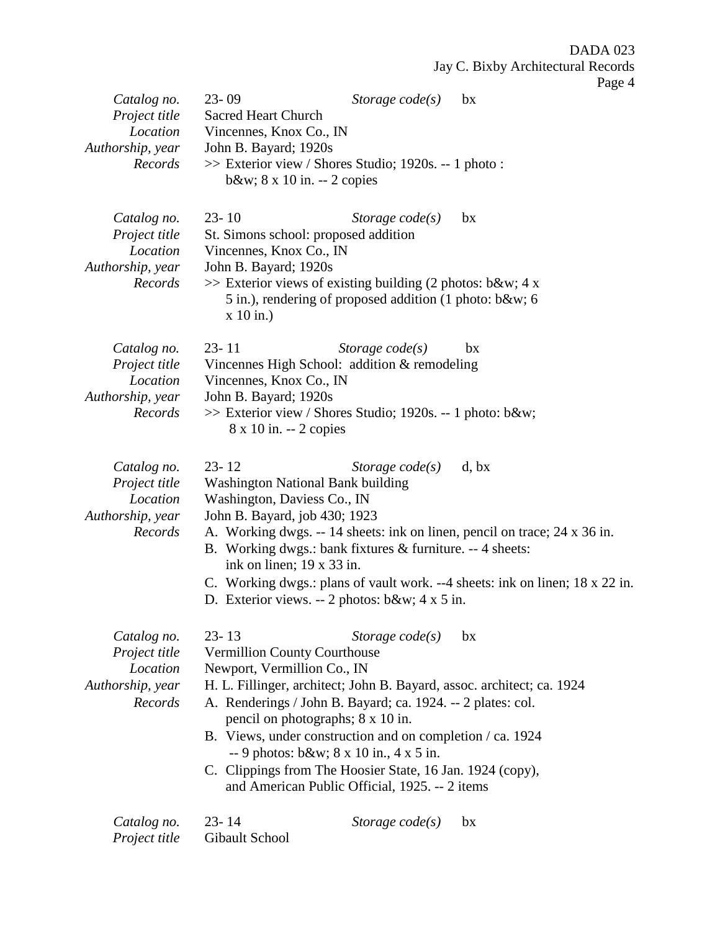| Catalog no.<br>Project title<br>Location<br>Authorship, year<br>Records | $23 - 09$<br>Sacred Heart Church<br>Vincennes, Knox Co., IN<br>John B. Bayard; 1920s<br>>> Exterior view / Shores Studio; 1920s. -- 1 photo :<br>b&w $8 \times 10$ in. $-2$ copies                                                                                                                                                                                                                                                                                                                | Storage $code(s)$ | bx                                                                                                                                                                 |
|-------------------------------------------------------------------------|---------------------------------------------------------------------------------------------------------------------------------------------------------------------------------------------------------------------------------------------------------------------------------------------------------------------------------------------------------------------------------------------------------------------------------------------------------------------------------------------------|-------------------|--------------------------------------------------------------------------------------------------------------------------------------------------------------------|
| Catalog no.<br>Project title<br>Location<br>Authorship, year<br>Records | $23 - 10$<br>St. Simons school: proposed addition<br>Vincennes, Knox Co., IN<br>John B. Bayard; 1920s<br>$\gg$ Exterior views of existing building (2 photos: b&w 4 x<br>5 in.), rendering of proposed addition (1 photo: b&w 6<br>$x 10$ in.)                                                                                                                                                                                                                                                    | Storage $code(s)$ | bx                                                                                                                                                                 |
| Catalog no.<br>Project title<br>Location<br>Authorship, year<br>Records | $23 - 11$<br>Vincennes High School: addition & remodeling<br>Vincennes, Knox Co., IN<br>John B. Bayard; 1920s<br>>> Exterior view / Shores Studio; 1920s. -- 1 photo: b&w<br>8 x 10 in. -- 2 copies                                                                                                                                                                                                                                                                                               | Storage $code(s)$ | bx                                                                                                                                                                 |
| Catalog no.<br>Project title<br>Location<br>Authorship, year<br>Records | $23 - 12$<br><b>Washington National Bank building</b><br>Washington, Daviess Co., IN<br>John B. Bayard, job 430; 1923<br>B. Working dwgs.: bank fixtures & furniture. -- 4 sheets:<br>ink on linen; $19 \times 33$ in.<br>D. Exterior views. -- 2 photos: $b&w$ ; 4 x 5 in.                                                                                                                                                                                                                       | Storage $code(s)$ | d, bx<br>A. Working dwgs. -- 14 sheets: ink on linen, pencil on trace; 24 x 36 in.<br>C. Working dwgs.: plans of vault work. --4 sheets: ink on linen; 18 x 22 in. |
| Catalog no.<br>Project title<br>Location<br>Authorship, year<br>Records | $23 - 13$<br><b>Vermillion County Courthouse</b><br>Newport, Vermillion Co., IN<br>H. L. Fillinger, architect; John B. Bayard, assoc. architect; ca. 1924<br>A. Renderings / John B. Bayard; ca. 1924. -- 2 plates: col.<br>pencil on photographs; 8 x 10 in.<br>B. Views, under construction and on completion / ca. 1924<br>$-9$ photos: b&w $8 \times 10$ in., $4 \times 5$ in.<br>C. Clippings from The Hoosier State, 16 Jan. 1924 (copy),<br>and American Public Official, 1925. -- 2 items | Storage $code(s)$ | bx                                                                                                                                                                 |
| Catalog no.<br>Project title                                            | $23 - 14$<br>Gibault School                                                                                                                                                                                                                                                                                                                                                                                                                                                                       | Storage $code(s)$ | bx                                                                                                                                                                 |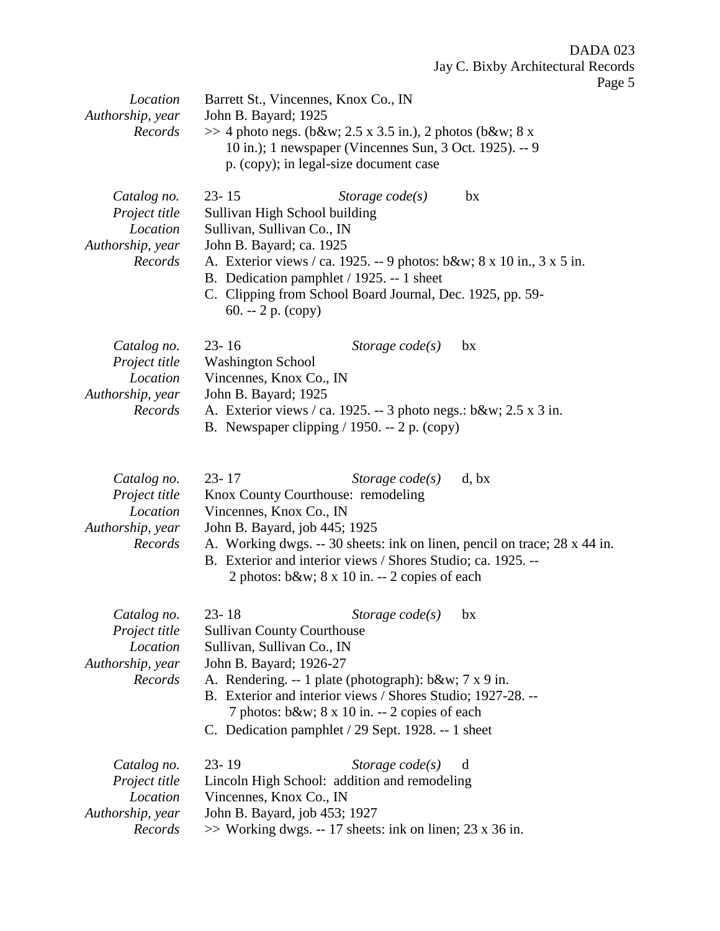| Location                                                                | Barrett St., Vincennes, Knox Co., IN                                                                                                                                                                                                                                                                                                                         |
|-------------------------------------------------------------------------|--------------------------------------------------------------------------------------------------------------------------------------------------------------------------------------------------------------------------------------------------------------------------------------------------------------------------------------------------------------|
| Authorship, year<br>Records                                             | John B. Bayard; 1925<br>$\gg$ 4 photo negs. (b&w 2.5 x 3.5 in.), 2 photos (b&w 8 x<br>10 in.); 1 newspaper (Vincennes Sun, 3 Oct. 1925). -- 9<br>p. (copy); in legal-size document case                                                                                                                                                                      |
| Catalog no.<br>Project title<br>Location<br>Authorship, year<br>Records | $23 - 15$<br>Storage $code(s)$<br>bx<br>Sullivan High School building<br>Sullivan, Sullivan Co., IN<br>John B. Bayard; ca. 1925<br>A. Exterior views / ca. 1925. -- 9 photos: b&w 8 x 10 in., 3 x 5 in.<br>B. Dedication pamphlet / 1925. -- 1 sheet<br>C. Clipping from School Board Journal, Dec. 1925, pp. 59-<br>60. -- $2 p. (copy)$                    |
| Catalog no.<br>Project title<br>Location<br>Authorship, year<br>Records | $23 - 16$<br>Storage $code(s)$<br>bx<br><b>Washington School</b><br>Vincennes, Knox Co., IN<br>John B. Bayard; 1925<br>A. Exterior views / ca. 1925. -- 3 photo negs.: b&w 2.5 x 3 in.<br>B. Newspaper clipping $/$ 1950. -- 2 p. (copy)                                                                                                                     |
| Catalog no.<br>Project title<br>Location<br>Authorship, year<br>Records | $23 - 17$<br>Storage $code(s)$<br>d, bx<br>Knox County Courthouse: remodeling<br>Vincennes, Knox Co., IN<br>John B. Bayard, job 445; 1925<br>A. Working dwgs. -- 30 sheets: ink on linen, pencil on trace; 28 x 44 in.<br>B. Exterior and interior views / Shores Studio; ca. 1925. --<br>2 photos: $b\&w$ ; $8 \times 10$ in. -- 2 copies of each           |
| Catalog no.<br>Project title<br>Location<br>Authorship, year<br>Records | $23 - 18$<br>Storage $code(s)$ bx<br><b>Sullivan County Courthouse</b><br>Sullivan, Sullivan Co., IN<br>John B. Bayard; 1926-27<br>A. Rendering. -- 1 plate (photograph): b&w 7 x 9 in.<br>B. Exterior and interior views / Shores Studio; 1927-28. --<br>7 photos: b&w 8 x 10 in. -- 2 copies of each<br>C. Dedication pamphlet / 29 Sept. 1928. -- 1 sheet |
| Catalog no.<br>Project title<br>Location<br>Authorship, year<br>Records | $23 - 19$<br>Storage $code(s)$<br>d<br>Lincoln High School: addition and remodeling<br>Vincennes, Knox Co., IN<br>John B. Bayard, job 453; 1927<br>$\gg$ Working dwgs. -- 17 sheets: ink on linen; 23 x 36 in.                                                                                                                                               |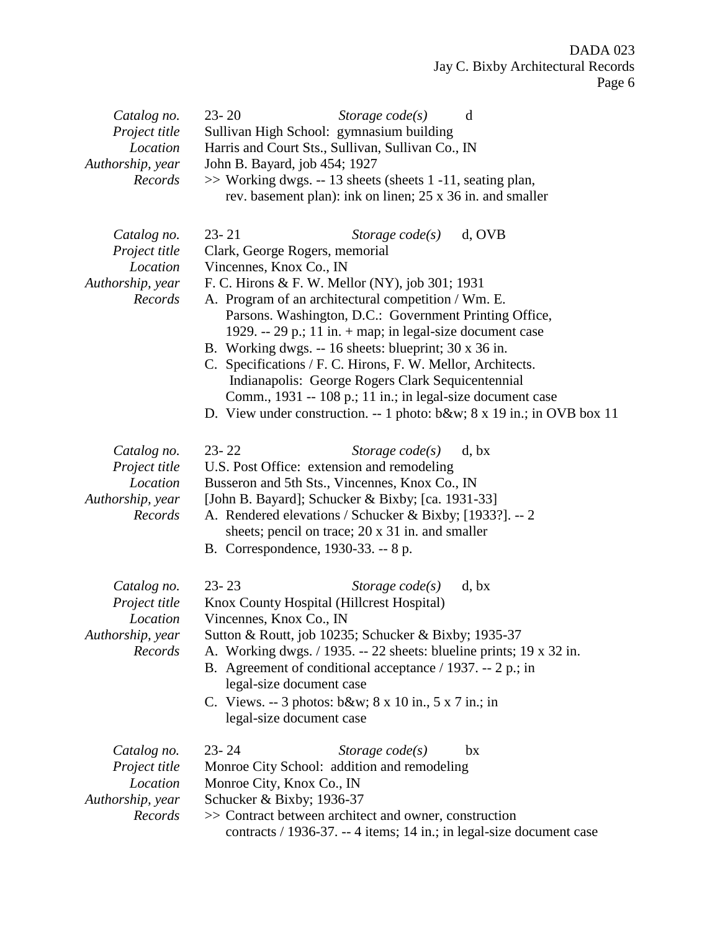| Catalog no.<br>Project title<br>Location<br>Authorship, year<br>Records | $23 - 20$<br>Sullivan High School: gymnasium building<br>Harris and Court Sts., Sullivan, Sullivan Co., IN<br>John B. Bayard, job 454; 1927<br>>> Working dwgs. -- 13 sheets (sheets 1 -11, seating plan,                                                                                                                                                                                                        | Storage $code(s)$<br>rev. basement plan): ink on linen; 25 x 36 in. and smaller                                                                                                                                                                               | d                                                                               |
|-------------------------------------------------------------------------|------------------------------------------------------------------------------------------------------------------------------------------------------------------------------------------------------------------------------------------------------------------------------------------------------------------------------------------------------------------------------------------------------------------|---------------------------------------------------------------------------------------------------------------------------------------------------------------------------------------------------------------------------------------------------------------|---------------------------------------------------------------------------------|
| Catalog no.<br>Project title<br>Location<br>Authorship, year<br>Records | $23 - 21$<br>Clark, George Rogers, memorial<br>Vincennes, Knox Co., IN<br>F. C. Hirons & F. W. Mellor (NY), job 301; 1931<br>A. Program of an architectural competition / Wm. E.<br>B. Working dwgs. -- 16 sheets: blueprint; 30 x 36 in.<br>C. Specifications / F. C. Hirons, F. W. Mellor, Architects.                                                                                                         | Storage $code(s)$<br>Parsons. Washington, D.C.: Government Printing Office,<br>1929. -- 29 p.; 11 in. $+$ map; in legal-size document case<br>Indianapolis: George Rogers Clark Sequicentennial<br>Comm., 1931 -- 108 p.; 11 in.; in legal-size document case | d, OVB<br>D. View under construction. -- 1 photo: b&w 8 x 19 in.; in OVB box 11 |
| Catalog no.<br>Project title<br>Location<br>Authorship, year<br>Records | $23 - 22$<br>U.S. Post Office: extension and remodeling<br>Busseron and 5th Sts., Vincennes, Knox Co., IN<br>[John B. Bayard]; Schucker & Bixby; [ca. 1931-33]<br>A. Rendered elevations / Schucker & Bixby; [1933?]. -- 2<br>B. Correspondence, 1930-33. -- 8 p.                                                                                                                                                | Storage $code(s)$<br>sheets; pencil on trace; 20 x 31 in. and smaller                                                                                                                                                                                         | d, bx                                                                           |
| Catalog no.<br>Project title<br>Location<br>Authorship, year<br>Records | $23 - 23$<br>Knox County Hospital (Hillcrest Hospital)<br>Vincennes, Knox Co., IN<br>Sutton & Routt, job 10235; Schucker & Bixby; 1935-37<br>A. Working dwgs. $/$ 1935. -- 22 sheets: blueline prints; 19 x 32 in.<br>B. Agreement of conditional acceptance $/$ 1937. -- 2 p.; in<br>legal-size document case<br>C. Views. -- 3 photos: b&w $8 \times 10$ in., $5 \times 7$ in.; in<br>legal-size document case | Storage $code(s)$                                                                                                                                                                                                                                             | d, bx                                                                           |
| Catalog no.<br>Project title<br>Location<br>Authorship, year<br>Records | $23 - 24$<br>Monroe City School: addition and remodeling<br>Monroe City, Knox Co., IN<br>Schucker & Bixby; 1936-37<br>>> Contract between architect and owner, construction                                                                                                                                                                                                                                      | Storage $code(s)$                                                                                                                                                                                                                                             | bx<br>contracts / 1936-37. -- 4 items; 14 in.; in legal-size document case      |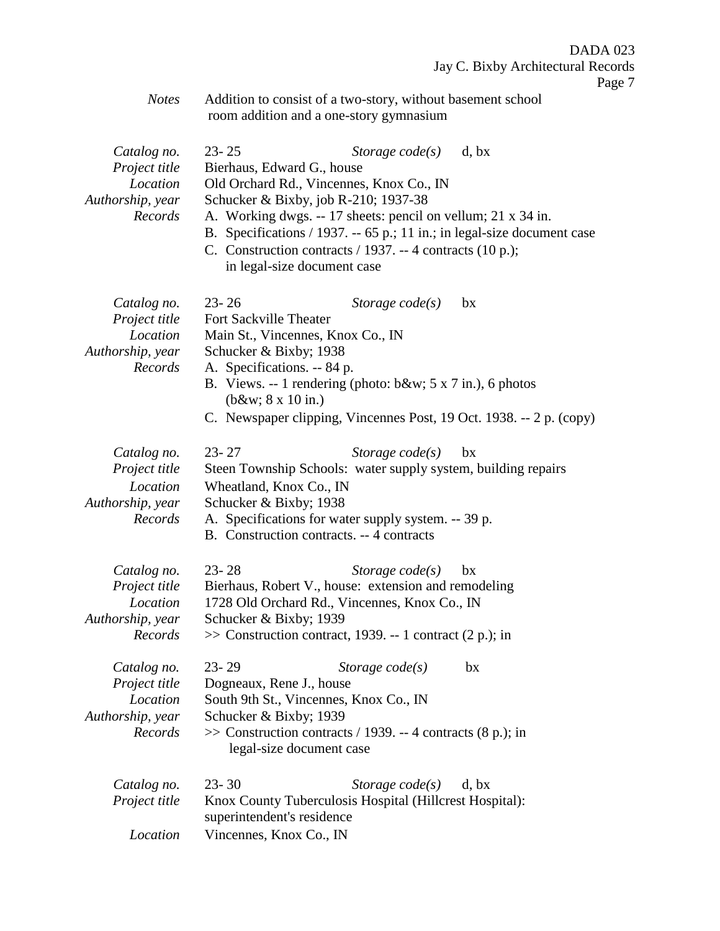*Notes* Addition to consist of a two-story, without basement school room addition and a one-story gymnasium

| Catalog no.<br>Project title<br>Location<br>Authorship, year<br>Records | $23 - 25$<br>Bierhaus, Edward G., house<br>Old Orchard Rd., Vincennes, Knox Co., IN<br>Schucker & Bixby, job R-210; 1937-38<br>A. Working dwgs. -- 17 sheets: pencil on vellum; 21 x 34 in.<br>B. Specifications / 1937. -- 65 p.; 11 in.; in legal-size document case<br>C. Construction contracts / 1937. -- 4 contracts (10 p.);<br>in legal-size document case | Storage $code(s)$ | d, bx |
|-------------------------------------------------------------------------|--------------------------------------------------------------------------------------------------------------------------------------------------------------------------------------------------------------------------------------------------------------------------------------------------------------------------------------------------------------------|-------------------|-------|
| Catalog no.<br>Project title<br>Location<br>Authorship, year<br>Records | $23 - 26$<br>Fort Sackville Theater<br>Main St., Vincennes, Knox Co., IN<br>Schucker & Bixby; 1938<br>A. Specifications. -- 84 p.<br>B. Views. -- 1 rendering (photo: $b\&w$ ; 5 x 7 in.), 6 photos<br>$(b\&w 8 \times 10 \text{ in.})$<br>C. Newspaper clipping, Vincennes Post, 19 Oct. 1938. -- 2 p. (copy)                                                     | Storage $code(s)$ | bx    |
| Catalog no.<br>Project title<br>Location<br>Authorship, year<br>Records | $23 - 27$<br>Steen Township Schools: water supply system, building repairs<br>Wheatland, Knox Co., IN<br>Schucker & Bixby; 1938<br>A. Specifications for water supply system. -- 39 p.<br>B. Construction contracts. -- 4 contracts                                                                                                                                | Storage $code(s)$ | bx    |
| Catalog no.<br>Project title<br>Location<br>Authorship, year<br>Records | $23 - 28$<br>Bierhaus, Robert V., house: extension and remodeling<br>1728 Old Orchard Rd., Vincennes, Knox Co., IN<br>Schucker & Bixby; 1939<br>>> Construction contract, 1939. -- 1 contract (2 p.); in                                                                                                                                                           | Storage $code(s)$ | bx    |
| Catalog no.<br>Project title<br>Location<br>Authorship, year<br>Records | $23 - 29$<br>Dogneaux, Rene J., house<br>South 9th St., Vincennes, Knox Co., IN<br>Schucker & Bixby; 1939<br>$\gg$ Construction contracts / 1939. -- 4 contracts (8 p.); in<br>legal-size document case                                                                                                                                                            | Storage code(s)   | bx    |
| Catalog no.<br>Project title<br>Location                                | $23 - 30$<br>Knox County Tuberculosis Hospital (Hillcrest Hospital):<br>superintendent's residence<br>Vincennes, Knox Co., IN                                                                                                                                                                                                                                      | Storage $code(s)$ | d, bx |
|                                                                         |                                                                                                                                                                                                                                                                                                                                                                    |                   |       |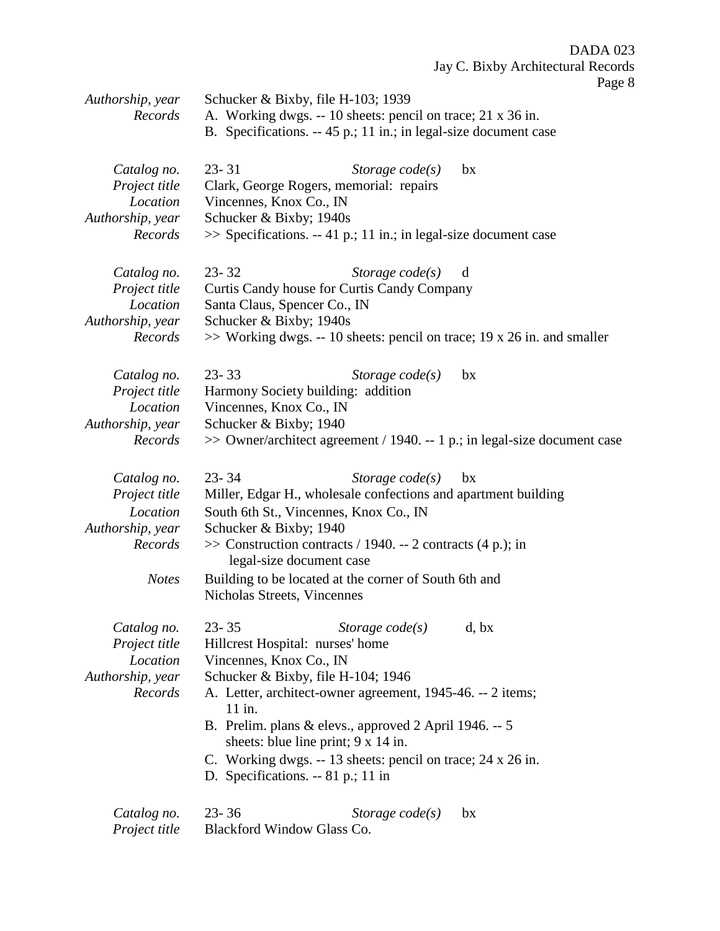Page 8

| Authorship, year<br>Records                                                             | Schucker & Bixby, file H-103; 1939<br>A. Working dwgs. -- 10 sheets: pencil on trace; 21 x 36 in.                                                                                                                                                                                                                                                                                                                                 |  |  |  |
|-----------------------------------------------------------------------------------------|-----------------------------------------------------------------------------------------------------------------------------------------------------------------------------------------------------------------------------------------------------------------------------------------------------------------------------------------------------------------------------------------------------------------------------------|--|--|--|
|                                                                                         | B. Specifications. -- 45 p.; 11 in.; in legal-size document case                                                                                                                                                                                                                                                                                                                                                                  |  |  |  |
| Catalog no.<br>Project title<br>Location<br>Authorship, year<br>Records                 | $23 - 31$<br>Storage $code(s)$<br>bx<br>Clark, George Rogers, memorial: repairs<br>Vincennes, Knox Co., IN<br>Schucker & Bixby; 1940s<br>$\gg$ Specifications. -- 41 p.; 11 in.; in legal-size document case                                                                                                                                                                                                                      |  |  |  |
| Catalog no.<br>Project title<br>Location<br>Authorship, year<br>Records                 | $23 - 32$<br>Storage $code(s)$<br>d<br>Curtis Candy house for Curtis Candy Company<br>Santa Claus, Spencer Co., IN<br>Schucker & Bixby; 1940s<br>$\gg$ Working dwgs. -- 10 sheets: pencil on trace; 19 x 26 in. and smaller                                                                                                                                                                                                       |  |  |  |
| Catalog no.<br>Project title<br>Location<br>Authorship, year<br>Records                 | $23 - 33$<br>Storage $code(s)$<br>bx<br>Harmony Society building: addition<br>Vincennes, Knox Co., IN<br>Schucker & Bixby; 1940<br>$\gg$ Owner/architect agreement / 1940. -- 1 p.; in legal-size document case                                                                                                                                                                                                                   |  |  |  |
| Catalog no.<br>Project title<br>Location<br>Authorship, year<br>Records<br><b>Notes</b> | $23 - 34$<br>Storage $code(s)$<br>bx<br>Miller, Edgar H., wholesale confections and apartment building<br>South 6th St., Vincennes, Knox Co., IN<br>Schucker & Bixby; 1940<br>$\gg$ Construction contracts / 1940. -- 2 contracts (4 p.); in<br>legal-size document case<br>Building to be located at the corner of South 6th and<br>Nicholas Streets, Vincennes                                                                  |  |  |  |
| Catalog no.<br>Project title<br>Location<br>Authorship, year<br>Records                 | $23 - 35$<br>Storage $code(s)$<br>d, bx<br>Hillcrest Hospital: nurses' home<br>Vincennes, Knox Co., IN<br>Schucker & Bixby, file H-104; 1946<br>A. Letter, architect-owner agreement, 1945-46. -- 2 items;<br>11 in.<br>B. Prelim. plans & elevs., approved 2 April 1946. -- 5<br>sheets: blue line print; $9 \times 14$ in.<br>C. Working dwgs. -- 13 sheets: pencil on trace; 24 x 26 in.<br>D. Specifications. $-81$ p.; 11 in |  |  |  |
| Catalog no.<br>Project title                                                            | $23 - 36$<br>Storage $code(s)$<br>bx<br>Blackford Window Glass Co.                                                                                                                                                                                                                                                                                                                                                                |  |  |  |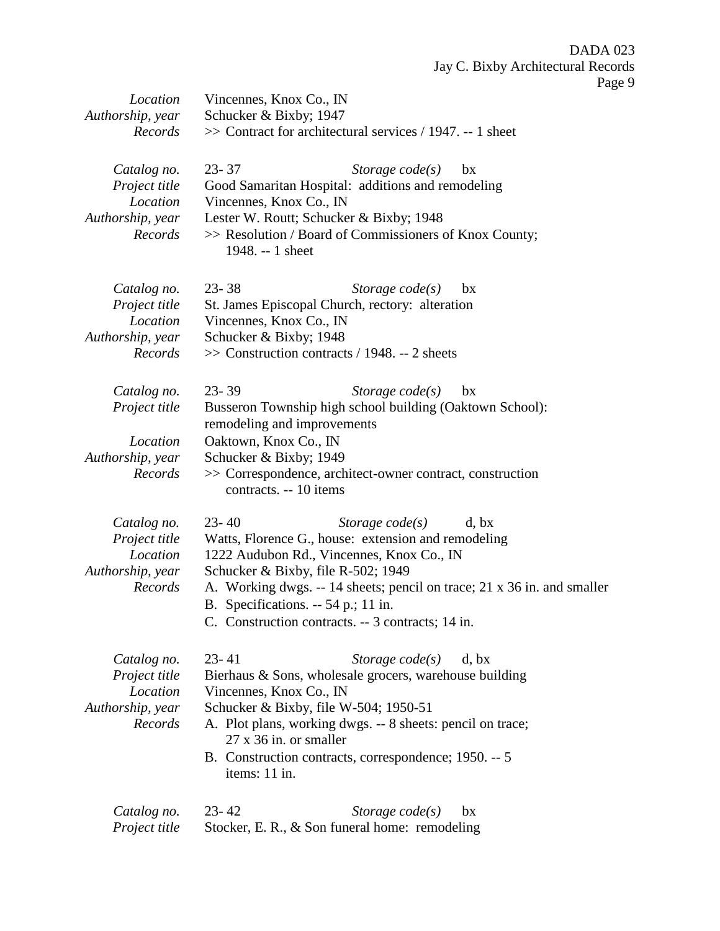| Location<br>Authorship, year<br>Records                                 | Vincennes, Knox Co., IN<br>Schucker & Bixby; 1947<br>$\gg$ Contract for architectural services / 1947. -- 1 sheet                                                                                                                                                                                                                                        |
|-------------------------------------------------------------------------|----------------------------------------------------------------------------------------------------------------------------------------------------------------------------------------------------------------------------------------------------------------------------------------------------------------------------------------------------------|
| Catalog no.<br>Project title<br>Location<br>Authorship, year<br>Records | $23 - 37$<br>Storage $code(s)$<br>bx<br>Good Samaritan Hospital: additions and remodeling<br>Vincennes, Knox Co., IN<br>Lester W. Routt; Schucker & Bixby; 1948<br>>> Resolution / Board of Commissioners of Knox County;<br>1948. -- 1 sheet                                                                                                            |
| Catalog no.<br>Project title<br>Location<br>Authorship, year<br>Records | $23 - 38$<br>Storage $code(s)$<br>bx<br>St. James Episcopal Church, rectory: alteration<br>Vincennes, Knox Co., IN<br>Schucker & Bixby; 1948<br>>> Construction contracts / 1948. -- 2 sheets                                                                                                                                                            |
| Catalog no.<br>Project title<br>Location<br>Authorship, year<br>Records | $23 - 39$<br>Storage $code(s)$<br>bx<br>Busseron Township high school building (Oaktown School):<br>remodeling and improvements<br>Oaktown, Knox Co., IN<br>Schucker & Bixby; 1949<br>>> Correspondence, architect-owner contract, construction<br>contracts. -- 10 items                                                                                |
| Catalog no.<br>Project title<br>Location<br>Authorship, year<br>Records | $23 - 40$<br>Storage $code(s)$<br>d, bx<br>Watts, Florence G., house: extension and remodeling<br>1222 Audubon Rd., Vincennes, Knox Co., IN<br>Schucker & Bixby, file R-502; 1949<br>A. Working dwgs. -- 14 sheets; pencil on trace; 21 x 36 in. and smaller<br>B. Specifications. $-54$ p.; 11 in.<br>C. Construction contracts. -- 3 contracts; 14 in. |
| Catalog no.<br>Project title<br>Location<br>Authorship, year<br>Records | $23 - 41$<br>Storage $code(s)$<br>d, bx<br>Bierhaus & Sons, wholesale grocers, warehouse building<br>Vincennes, Knox Co., IN<br>Schucker & Bixby, file W-504; 1950-51<br>A. Plot plans, working dwgs. -- 8 sheets: pencil on trace;<br>$27 \times 36$ in. or smaller<br>B. Construction contracts, correspondence; 1950. -- 5<br>items: 11 in.           |
| Catalog no.<br>Project title                                            | $23 - 42$<br>Storage $code(s)$<br>bx<br>Stocker, E. R., & Son funeral home: remodeling                                                                                                                                                                                                                                                                   |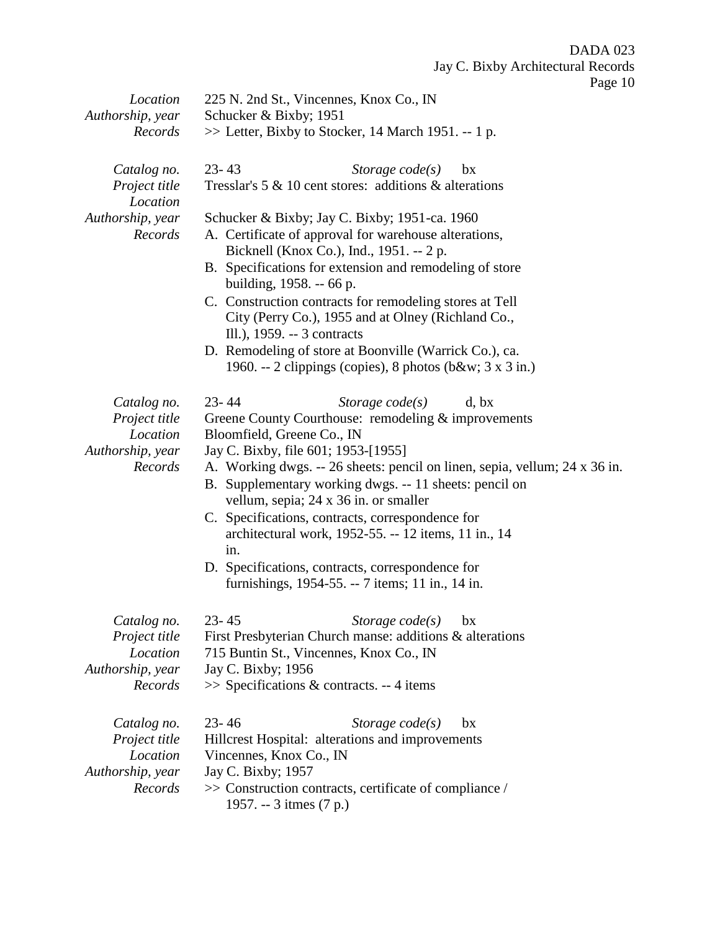| Location                                                                | 225 N. 2nd St., Vincennes, Knox Co., IN                                                                                                                                                                                                                                                                                                                                                                                                                                                                                                                                         |  |  |
|-------------------------------------------------------------------------|---------------------------------------------------------------------------------------------------------------------------------------------------------------------------------------------------------------------------------------------------------------------------------------------------------------------------------------------------------------------------------------------------------------------------------------------------------------------------------------------------------------------------------------------------------------------------------|--|--|
| Authorship, year                                                        | Schucker & Bixby; 1951                                                                                                                                                                                                                                                                                                                                                                                                                                                                                                                                                          |  |  |
| Records                                                                 | >> Letter, Bixby to Stocker, 14 March 1951. -- 1 p.                                                                                                                                                                                                                                                                                                                                                                                                                                                                                                                             |  |  |
| Catalog no.<br>Project title                                            | $23 - 43$<br>Storage $code(s)$<br>bx<br>Tresslar's $5 \& 10$ cent stores: additions $\&$ alterations                                                                                                                                                                                                                                                                                                                                                                                                                                                                            |  |  |
| Location<br>Authorship, year<br>Records                                 | Schucker & Bixby; Jay C. Bixby; 1951-ca. 1960<br>A. Certificate of approval for warehouse alterations,<br>Bicknell (Knox Co.), Ind., 1951. -- 2 p.<br>B. Specifications for extension and remodeling of store<br>building, 1958. -- 66 p.<br>C. Construction contracts for remodeling stores at Tell<br>City (Perry Co.), 1955 and at Olney (Richland Co.,<br>Ill.), 1959. -- 3 contracts<br>D. Remodeling of store at Boonville (Warrick Co.), ca.<br>1960. -- 2 clippings (copies), 8 photos (b&w 3 x 3 in.)                                                                  |  |  |
| Catalog no.<br>Project title<br>Location<br>Authorship, year<br>Records | $23 - 44$<br>Storage $code(s)$<br>d, bx<br>Greene County Courthouse: remodeling & improvements<br>Bloomfield, Greene Co., IN<br>Jay C. Bixby, file 601; 1953-[1955]<br>A. Working dwgs. -- 26 sheets: pencil on linen, sepia, vellum; 24 x 36 in.<br>B. Supplementary working dwgs. -- 11 sheets: pencil on<br>vellum, sepia; 24 x 36 in. or smaller<br>C. Specifications, contracts, correspondence for<br>architectural work, 1952-55. -- 12 items, 11 in., 14<br>in.<br>D. Specifications, contracts, correspondence for<br>furnishings, 1954-55. -- 7 items; 11 in., 14 in. |  |  |
| Catalog no.<br>Project title<br>Location<br>Authorship, year<br>Records | $23 - 45$<br>Storage $code(s)$ bx<br>First Presbyterian Church manse: additions & alterations<br>715 Buntin St., Vincennes, Knox Co., IN<br>Jay C. Bixby; 1956<br>>> Specifications & contracts. -- 4 items                                                                                                                                                                                                                                                                                                                                                                     |  |  |
| Catalog no.<br>Project title<br>Location<br>Authorship, year<br>Records | $23 - 46$<br>Storage $code(s)$<br>bx<br>Hillcrest Hospital: alterations and improvements<br>Vincennes, Knox Co., IN<br>Jay C. Bixby; 1957<br>>> Construction contracts, certificate of compliance /<br>1957. -- 3 itmes (7 p.)                                                                                                                                                                                                                                                                                                                                                  |  |  |